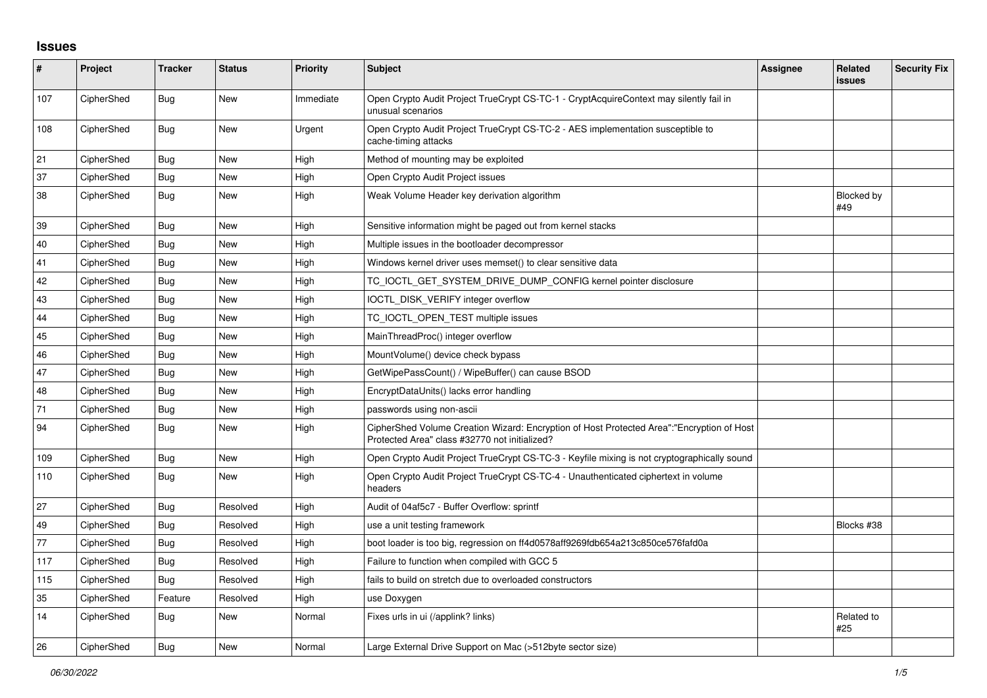## **Issues**

| ∦   | Project    | <b>Tracker</b> | <b>Status</b> | <b>Priority</b> | <b>Subject</b>                                                                                                                             | Assignee | <b>Related</b><br>issues | <b>Security Fix</b> |
|-----|------------|----------------|---------------|-----------------|--------------------------------------------------------------------------------------------------------------------------------------------|----------|--------------------------|---------------------|
| 107 | CipherShed | Bug            | New           | Immediate       | Open Crypto Audit Project TrueCrypt CS-TC-1 - CryptAcquireContext may silently fail in<br>unusual scenarios                                |          |                          |                     |
| 108 | CipherShed | Bug            | New           | Urgent          | Open Crypto Audit Project TrueCrypt CS-TC-2 - AES implementation susceptible to<br>cache-timing attacks                                    |          |                          |                     |
| 21  | CipherShed | <b>Bug</b>     | New           | High            | Method of mounting may be exploited                                                                                                        |          |                          |                     |
| 37  | CipherShed | Bug            | New           | High            | Open Crypto Audit Project issues                                                                                                           |          |                          |                     |
| 38  | CipherShed | <b>Bug</b>     | New           | High            | Weak Volume Header key derivation algorithm                                                                                                |          | Blocked by<br>#49        |                     |
| 39  | CipherShed | <b>Bug</b>     | <b>New</b>    | High            | Sensitive information might be paged out from kernel stacks                                                                                |          |                          |                     |
| 40  | CipherShed | Bug            | New           | High            | Multiple issues in the bootloader decompressor                                                                                             |          |                          |                     |
| 41  | CipherShed | Bug            | <b>New</b>    | High            | Windows kernel driver uses memset() to clear sensitive data                                                                                |          |                          |                     |
| 42  | CipherShed | Bug            | <b>New</b>    | High            | TC_IOCTL_GET_SYSTEM_DRIVE_DUMP_CONFIG kernel pointer disclosure                                                                            |          |                          |                     |
| 43  | CipherShed | Bug            | <b>New</b>    | High            | IOCTL_DISK_VERIFY integer overflow                                                                                                         |          |                          |                     |
| 44  | CipherShed | <b>Bug</b>     | New           | High            | TC_IOCTL_OPEN_TEST multiple issues                                                                                                         |          |                          |                     |
| 45  | CipherShed | Bug            | <b>New</b>    | High            | MainThreadProc() integer overflow                                                                                                          |          |                          |                     |
| 46  | CipherShed | <b>Bug</b>     | <b>New</b>    | High            | MountVolume() device check bypass                                                                                                          |          |                          |                     |
| 47  | CipherShed | Bug            | New           | High            | GetWipePassCount() / WipeBuffer() can cause BSOD                                                                                           |          |                          |                     |
| 48  | CipherShed | Bug            | New           | High            | EncryptDataUnits() lacks error handling                                                                                                    |          |                          |                     |
| 71  | CipherShed | Bug            | <b>New</b>    | High            | passwords using non-ascii                                                                                                                  |          |                          |                     |
| 94  | CipherShed | <b>Bug</b>     | New           | High            | CipherShed Volume Creation Wizard: Encryption of Host Protected Area":"Encryption of Host<br>Protected Area" class #32770 not initialized? |          |                          |                     |
| 109 | CipherShed | <b>Bug</b>     | <b>New</b>    | High            | Open Crypto Audit Project TrueCrypt CS-TC-3 - Keyfile mixing is not cryptographically sound                                                |          |                          |                     |
| 110 | CipherShed | Bug            | New           | High            | Open Crypto Audit Project TrueCrypt CS-TC-4 - Unauthenticated ciphertext in volume<br>headers                                              |          |                          |                     |
| 27  | CipherShed | Bug            | Resolved      | High            | Audit of 04af5c7 - Buffer Overflow: sprintf                                                                                                |          |                          |                     |
| 49  | CipherShed | Bug            | Resolved      | High            | use a unit testing framework                                                                                                               |          | Blocks #38               |                     |
| 77  | CipherShed | <b>Bug</b>     | Resolved      | High            | boot loader is too big, regression on ff4d0578aff9269fdb654a213c850ce576fafd0a                                                             |          |                          |                     |
| 117 | CipherShed | Bug            | Resolved      | High            | Failure to function when compiled with GCC 5                                                                                               |          |                          |                     |
| 115 | CipherShed | <b>Bug</b>     | Resolved      | High            | fails to build on stretch due to overloaded constructors                                                                                   |          |                          |                     |
| 35  | CipherShed | Feature        | Resolved      | High            | use Doxygen                                                                                                                                |          |                          |                     |
| 14  | CipherShed | Bug            | New           | Normal          | Fixes urls in ui (/applink? links)                                                                                                         |          | Related to<br>#25        |                     |
| 26  | CipherShed | Bug            | New           | Normal          | Large External Drive Support on Mac (>512byte sector size)                                                                                 |          |                          |                     |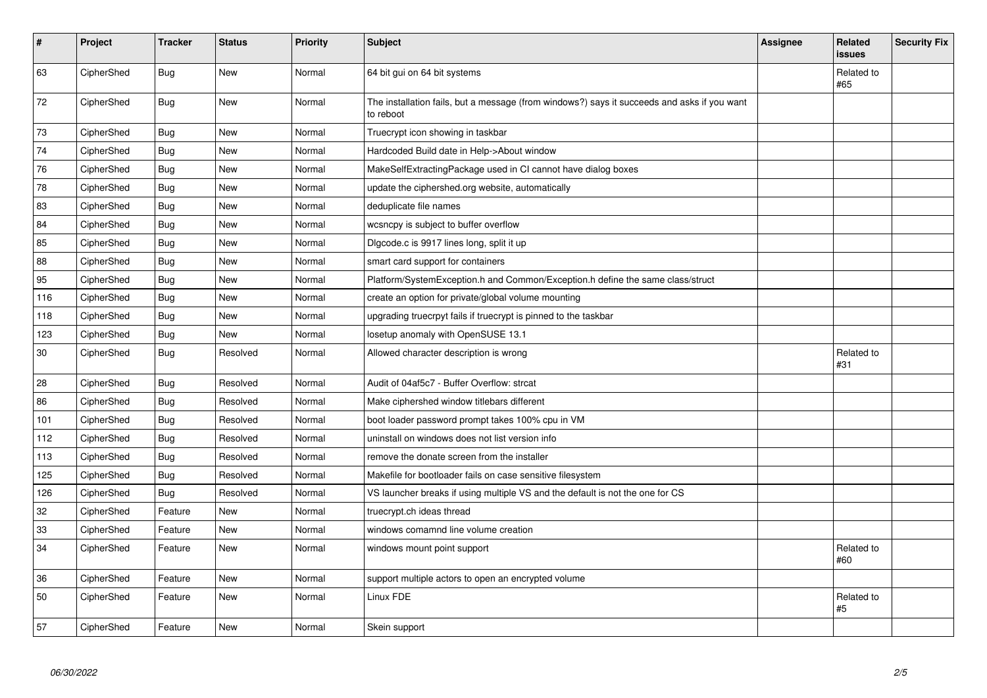| $\vert$ # | Project    | <b>Tracker</b> | <b>Status</b> | Priority | <b>Subject</b>                                                                                           | <b>Assignee</b> | Related<br><b>issues</b> | <b>Security Fix</b> |
|-----------|------------|----------------|---------------|----------|----------------------------------------------------------------------------------------------------------|-----------------|--------------------------|---------------------|
| 63        | CipherShed | <b>Bug</b>     | <b>New</b>    | Normal   | 64 bit gui on 64 bit systems                                                                             |                 | Related to<br>#65        |                     |
| 72        | CipherShed | <b>Bug</b>     | <b>New</b>    | Normal   | The installation fails, but a message (from windows?) says it succeeds and asks if you want<br>to reboot |                 |                          |                     |
| 73        | CipherShed | <b>Bug</b>     | <b>New</b>    | Normal   | Truecrypt icon showing in taskbar                                                                        |                 |                          |                     |
| 74        | CipherShed | <b>Bug</b>     | <b>New</b>    | Normal   | Hardcoded Build date in Help->About window                                                               |                 |                          |                     |
| 76        | CipherShed | Bug            | <b>New</b>    | Normal   | MakeSelfExtractingPackage used in CI cannot have dialog boxes                                            |                 |                          |                     |
| 78        | CipherShed | <b>Bug</b>     | New           | Normal   | update the ciphershed.org website, automatically                                                         |                 |                          |                     |
| 83        | CipherShed | <b>Bug</b>     | <b>New</b>    | Normal   | deduplicate file names                                                                                   |                 |                          |                     |
| 84        | CipherShed | Bug            | <b>New</b>    | Normal   | wcsncpy is subject to buffer overflow                                                                    |                 |                          |                     |
| 85        | CipherShed | Bug            | New           | Normal   | Digcode.c is 9917 lines long, split it up                                                                |                 |                          |                     |
| 88        | CipherShed | Bug            | New           | Normal   | smart card support for containers                                                                        |                 |                          |                     |
| 95        | CipherShed | <b>Bug</b>     | New           | Normal   | Platform/SystemException.h and Common/Exception.h define the same class/struct                           |                 |                          |                     |
| 116       | CipherShed | <b>Bug</b>     | New           | Normal   | create an option for private/global volume mounting                                                      |                 |                          |                     |
| 118       | CipherShed | Bug            | New           | Normal   | upgrading truecrpyt fails if truecrypt is pinned to the taskbar                                          |                 |                          |                     |
| 123       | CipherShed | <b>Bug</b>     | New           | Normal   | losetup anomaly with OpenSUSE 13.1                                                                       |                 |                          |                     |
| 30        | CipherShed | Bug            | Resolved      | Normal   | Allowed character description is wrong                                                                   |                 | Related to<br>#31        |                     |
| 28        | CipherShed | Bug            | Resolved      | Normal   | Audit of 04af5c7 - Buffer Overflow: strcat                                                               |                 |                          |                     |
| 86        | CipherShed | <b>Bug</b>     | Resolved      | Normal   | Make ciphershed window titlebars different                                                               |                 |                          |                     |
| 101       | CipherShed | Bug            | Resolved      | Normal   | boot loader password prompt takes 100% cpu in VM                                                         |                 |                          |                     |
| 112       | CipherShed | Bug            | Resolved      | Normal   | uninstall on windows does not list version info                                                          |                 |                          |                     |
| 113       | CipherShed | <b>Bug</b>     | Resolved      | Normal   | remove the donate screen from the installer                                                              |                 |                          |                     |
| 125       | CipherShed | <b>Bug</b>     | Resolved      | Normal   | Makefile for bootloader fails on case sensitive filesystem                                               |                 |                          |                     |
| 126       | CipherShed | Bug            | Resolved      | Normal   | VS launcher breaks if using multiple VS and the default is not the one for CS                            |                 |                          |                     |
| 32        | CipherShed | Feature        | <b>New</b>    | Normal   | truecrypt.ch ideas thread                                                                                |                 |                          |                     |
| 33        | CipherShed | Feature        | New           | Normal   | windows comamnd line volume creation                                                                     |                 |                          |                     |
| 34        | CipherShed | Feature        | New           | Normal   | windows mount point support                                                                              |                 | Related to<br>#60        |                     |
| 36        | CipherShed | Feature        | <b>New</b>    | Normal   | support multiple actors to open an encrypted volume                                                      |                 |                          |                     |
| 50        | CipherShed | Feature        | New           | Normal   | Linux FDE                                                                                                |                 | Related to<br>#5         |                     |
| 57        | CipherShed | Feature        | <b>New</b>    | Normal   | Skein support                                                                                            |                 |                          |                     |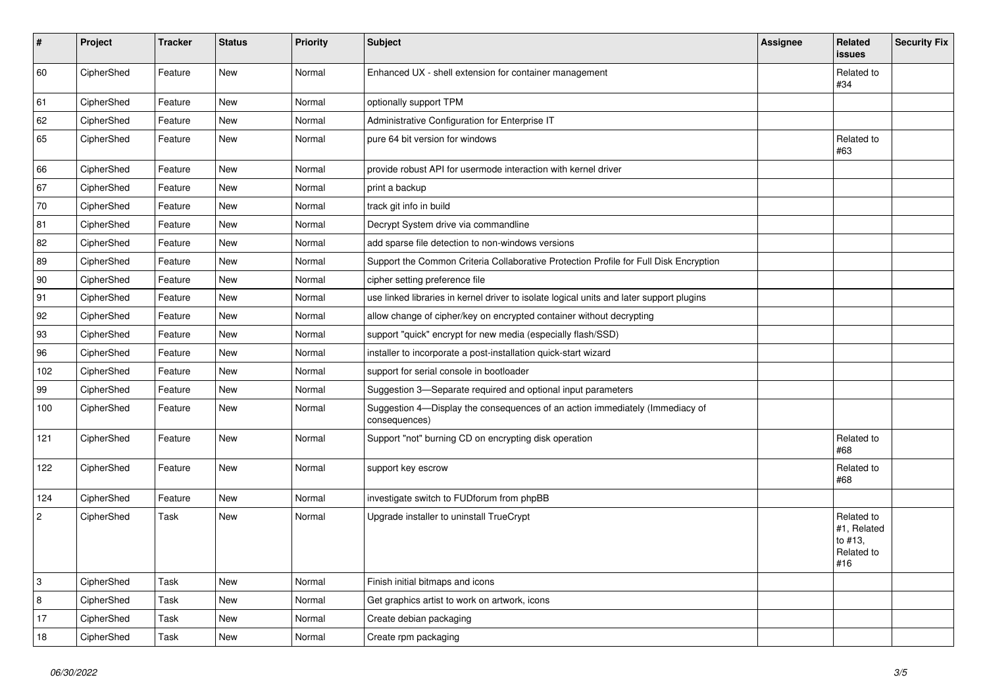| $\vert$ #      | Project    | <b>Tracker</b> | <b>Status</b> | <b>Priority</b> | <b>Subject</b>                                                                                | <b>Assignee</b> | Related<br><b>issues</b>                                  | <b>Security Fix</b> |
|----------------|------------|----------------|---------------|-----------------|-----------------------------------------------------------------------------------------------|-----------------|-----------------------------------------------------------|---------------------|
| 60             | CipherShed | Feature        | <b>New</b>    | Normal          | Enhanced UX - shell extension for container management                                        |                 | Related to<br>#34                                         |                     |
| 61             | CipherShed | Feature        | <b>New</b>    | Normal          | optionally support TPM                                                                        |                 |                                                           |                     |
| 62             | CipherShed | Feature        | <b>New</b>    | Normal          | Administrative Configuration for Enterprise IT                                                |                 |                                                           |                     |
| 65             | CipherShed | Feature        | <b>New</b>    | Normal          | pure 64 bit version for windows                                                               |                 | Related to<br>#63                                         |                     |
| 66             | CipherShed | Feature        | <b>New</b>    | Normal          | provide robust API for usermode interaction with kernel driver                                |                 |                                                           |                     |
| 67             | CipherShed | Feature        | <b>New</b>    | Normal          | print a backup                                                                                |                 |                                                           |                     |
| 70             | CipherShed | Feature        | <b>New</b>    | Normal          | track git info in build                                                                       |                 |                                                           |                     |
| 81             | CipherShed | Feature        | <b>New</b>    | Normal          | Decrypt System drive via commandline                                                          |                 |                                                           |                     |
| 82             | CipherShed | Feature        | <b>New</b>    | Normal          | add sparse file detection to non-windows versions                                             |                 |                                                           |                     |
| 89             | CipherShed | Feature        | <b>New</b>    | Normal          | Support the Common Criteria Collaborative Protection Profile for Full Disk Encryption         |                 |                                                           |                     |
| 90             | CipherShed | Feature        | New           | Normal          | cipher setting preference file                                                                |                 |                                                           |                     |
| 91             | CipherShed | Feature        | <b>New</b>    | Normal          | use linked libraries in kernel driver to isolate logical units and later support plugins      |                 |                                                           |                     |
| 92             | CipherShed | Feature        | New           | Normal          | allow change of cipher/key on encrypted container without decrypting                          |                 |                                                           |                     |
| 93             | CipherShed | Feature        | <b>New</b>    | Normal          | support "quick" encrypt for new media (especially flash/SSD)                                  |                 |                                                           |                     |
| 96             | CipherShed | Feature        | <b>New</b>    | Normal          | installer to incorporate a post-installation quick-start wizard                               |                 |                                                           |                     |
| 102            | CipherShed | Feature        | <b>New</b>    | Normal          | support for serial console in bootloader                                                      |                 |                                                           |                     |
| 99             | CipherShed | Feature        | <b>New</b>    | Normal          | Suggestion 3-Separate required and optional input parameters                                  |                 |                                                           |                     |
| 100            | CipherShed | Feature        | New           | Normal          | Suggestion 4—Display the consequences of an action immediately (Immediacy of<br>consequences) |                 |                                                           |                     |
| 121            | CipherShed | Feature        | New           | Normal          | Support "not" burning CD on encrypting disk operation                                         |                 | Related to<br>#68                                         |                     |
| 122            | CipherShed | Feature        | <b>New</b>    | Normal          | support key escrow                                                                            |                 | Related to<br>#68                                         |                     |
| 124            | CipherShed | Feature        | <b>New</b>    | Normal          | investigate switch to FUDforum from phpBB                                                     |                 |                                                           |                     |
| $\overline{2}$ | CipherShed | Task           | <b>New</b>    | Normal          | Upgrade installer to uninstall TrueCrypt                                                      |                 | Related to<br>#1, Related<br>to #13,<br>Related to<br>#16 |                     |
| 3              | CipherShed | Task           | <b>New</b>    | Normal          | Finish initial bitmaps and icons                                                              |                 |                                                           |                     |
| 8              | CipherShed | Task           | New           | Normal          | Get graphics artist to work on artwork, icons                                                 |                 |                                                           |                     |
| 17             | CipherShed | Task           | <b>New</b>    | Normal          | Create debian packaging                                                                       |                 |                                                           |                     |
| 18             | CipherShed | Task           | New           | Normal          | Create rpm packaging                                                                          |                 |                                                           |                     |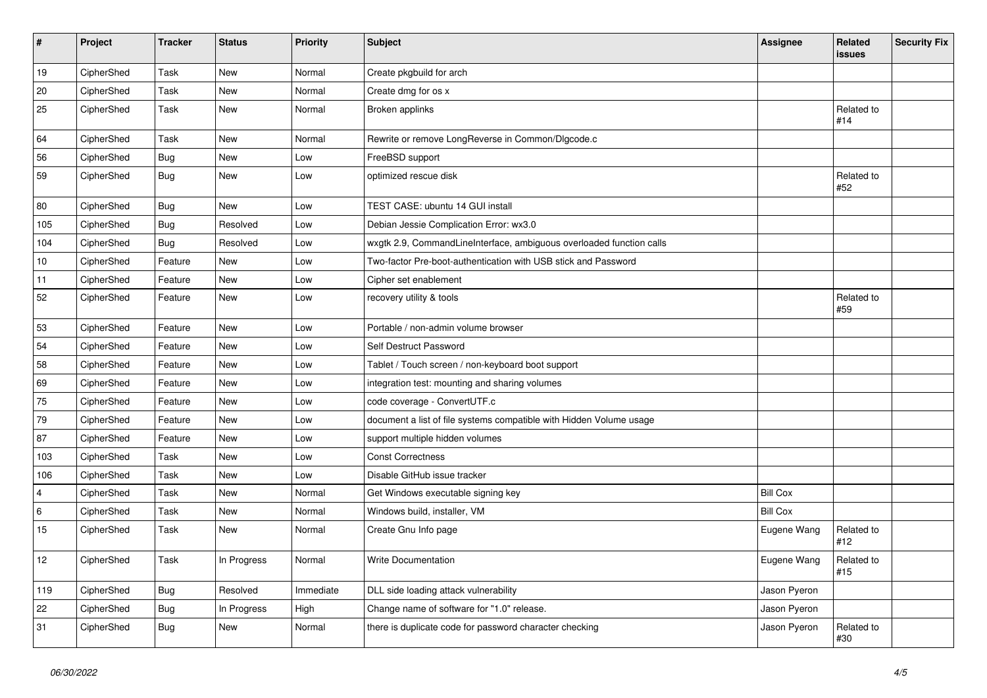| $\vert$ # | Project    | <b>Tracker</b> | <b>Status</b> | Priority  | <b>Subject</b>                                                       | <b>Assignee</b> | Related<br>issues | <b>Security Fix</b> |
|-----------|------------|----------------|---------------|-----------|----------------------------------------------------------------------|-----------------|-------------------|---------------------|
| 19        | CipherShed | Task           | <b>New</b>    | Normal    | Create pkgbuild for arch                                             |                 |                   |                     |
| 20        | CipherShed | Task           | <b>New</b>    | Normal    | Create dmg for os x                                                  |                 |                   |                     |
| 25        | CipherShed | Task           | <b>New</b>    | Normal    | Broken applinks                                                      |                 | Related to<br>#14 |                     |
| 64        | CipherShed | Task           | <b>New</b>    | Normal    | Rewrite or remove LongReverse in Common/DIgcode.c                    |                 |                   |                     |
| 56        | CipherShed | <b>Bug</b>     | New           | Low       | FreeBSD support                                                      |                 |                   |                     |
| 59        | CipherShed | Bug            | New           | Low       | optimized rescue disk                                                |                 | Related to<br>#52 |                     |
| 80        | CipherShed | <b>Bug</b>     | <b>New</b>    | Low       | TEST CASE: ubuntu 14 GUI install                                     |                 |                   |                     |
| 105       | CipherShed | Bug            | Resolved      | Low       | Debian Jessie Complication Error: wx3.0                              |                 |                   |                     |
| 104       | CipherShed | <b>Bug</b>     | Resolved      | Low       | wxgtk 2.9, CommandLineInterface, ambiguous overloaded function calls |                 |                   |                     |
| 10        | CipherShed | Feature        | <b>New</b>    | Low       | Two-factor Pre-boot-authentication with USB stick and Password       |                 |                   |                     |
| 11        | CipherShed | Feature        | New           | Low       | Cipher set enablement                                                |                 |                   |                     |
| 52        | CipherShed | Feature        | New           | Low       | recovery utility & tools                                             |                 | Related to<br>#59 |                     |
| 53        | CipherShed | Feature        | New           | Low       | Portable / non-admin volume browser                                  |                 |                   |                     |
| 54        | CipherShed | Feature        | New           | Low       | Self Destruct Password                                               |                 |                   |                     |
| 58        | CipherShed | Feature        | New           | Low       | Tablet / Touch screen / non-keyboard boot support                    |                 |                   |                     |
| 69        | CipherShed | Feature        | New           | Low       | integration test: mounting and sharing volumes                       |                 |                   |                     |
| 75        | CipherShed | Feature        | New           | Low       | code coverage - ConvertUTF.c                                         |                 |                   |                     |
| 79        | CipherShed | Feature        | New           | Low       | document a list of file systems compatible with Hidden Volume usage  |                 |                   |                     |
| 87        | CipherShed | Feature        | New           | Low       | support multiple hidden volumes                                      |                 |                   |                     |
| 103       | CipherShed | Task           | <b>New</b>    | Low       | <b>Const Correctness</b>                                             |                 |                   |                     |
| 106       | CipherShed | Task           | New           | Low       | Disable GitHub issue tracker                                         |                 |                   |                     |
| 4         | CipherShed | Task           | New           | Normal    | Get Windows executable signing key                                   | <b>Bill Cox</b> |                   |                     |
| 6         | CipherShed | Task           | <b>New</b>    | Normal    | Windows build, installer, VM                                         | <b>Bill Cox</b> |                   |                     |
| 15        | CipherShed | Task           | New           | Normal    | Create Gnu Info page                                                 | Eugene Wang     | Related to<br>#12 |                     |
| $12$      | CipherShed | Task           | In Progress   | Normal    | <b>Write Documentation</b>                                           | Eugene Wang     | Related to<br>#15 |                     |
| 119       | CipherShed | <b>Bug</b>     | Resolved      | Immediate | DLL side loading attack vulnerability                                | Jason Pyeron    |                   |                     |
| 22        | CipherShed | <b>Bug</b>     | In Progress   | High      | Change name of software for "1.0" release.                           | Jason Pyeron    |                   |                     |
| 31        | CipherShed | <b>Bug</b>     | New           | Normal    | there is duplicate code for password character checking              | Jason Pyeron    | Related to<br>#30 |                     |